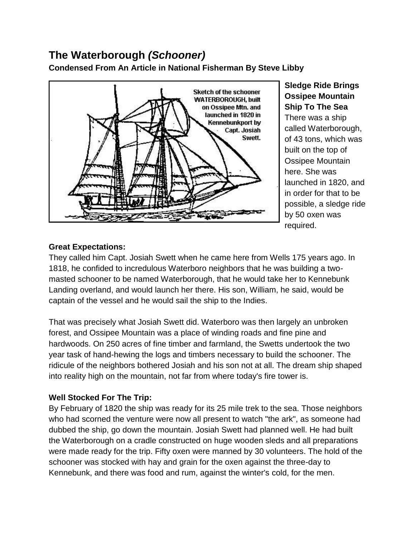# **The Waterborough** *(Schooner)*

**Condensed From An Article in National Fisherman By Steve Libby** 



**Sledge Ride Brings Ossipee Mountain Ship To The Sea** There was a ship called Waterborough, of 43 tons, which was built on the top of Ossipee Mountain here. She was launched in 1820, and in order for that to be possible, a sledge ride by 50 oxen was required.

## **Great Expectations:**

They called him Capt. Josiah Swett when he came here from Wells 175 years ago. In 1818, he confided to incredulous Waterboro neighbors that he was building a twomasted schooner to be named Waterborough, that he would take her to Kennebunk Landing overland, and would launch her there. His son, William, he said, would be captain of the vessel and he would sail the ship to the Indies.

That was precisely what Josiah Swett did. Waterboro was then largely an unbroken forest, and Ossipee Mountain was a place of winding roads and fine pine and hardwoods. On 250 acres of fine timber and farmland, the Swetts undertook the two year task of hand-hewing the logs and timbers necessary to build the schooner. The ridicule of the neighbors bothered Josiah and his son not at all. The dream ship shaped into reality high on the mountain, not far from where today's fire tower is.

# **Well Stocked For The Trip:**

By February of 1820 the ship was ready for its 25 mile trek to the sea. Those neighbors who had scorned the venture were now all present to watch "the ark", as someone had dubbed the ship, go down the mountain. Josiah Swett had planned well. He had built the Waterborough on a cradle constructed on huge wooden sleds and all preparations were made ready for the trip. Fifty oxen were manned by 30 volunteers. The hold of the schooner was stocked with hay and grain for the oxen against the three-day to Kennebunk, and there was food and rum, against the winter's cold, for the men.